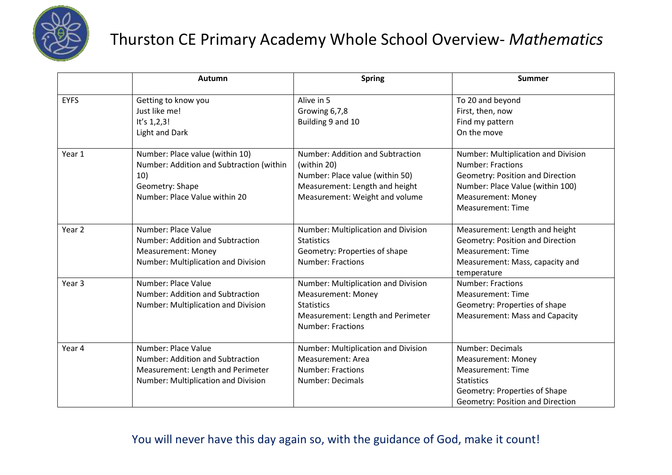

## Thurston CE Primary Academy Whole School Overview- *Mathematics*

|             | Autumn                                                                                                                                 | <b>Spring</b>                                                                                                                                          | <b>Summer</b>                                                                                                                                                                                    |
|-------------|----------------------------------------------------------------------------------------------------------------------------------------|--------------------------------------------------------------------------------------------------------------------------------------------------------|--------------------------------------------------------------------------------------------------------------------------------------------------------------------------------------------------|
| <b>EYFS</b> | Getting to know you<br>Just like me!<br>It's $1,2,3!$<br><b>Light and Dark</b>                                                         | Alive in 5<br>Growing 6,7,8<br>Building 9 and 10                                                                                                       | To 20 and beyond<br>First, then, now<br>Find my pattern<br>On the move                                                                                                                           |
| Year 1      | Number: Place value (within 10)<br>Number: Addition and Subtraction (within<br>10)<br>Geometry: Shape<br>Number: Place Value within 20 | Number: Addition and Subtraction<br>(within 20)<br>Number: Place value (within 50)<br>Measurement: Length and height<br>Measurement: Weight and volume | Number: Multiplication and Division<br><b>Number: Fractions</b><br>Geometry: Position and Direction<br>Number: Place Value (within 100)<br><b>Measurement: Money</b><br><b>Measurement: Time</b> |
| Year 2      | Number: Place Value<br>Number: Addition and Subtraction<br><b>Measurement: Money</b><br>Number: Multiplication and Division            | Number: Multiplication and Division<br><b>Statistics</b><br>Geometry: Properties of shape<br><b>Number: Fractions</b>                                  | Measurement: Length and height<br>Geometry: Position and Direction<br><b>Measurement: Time</b><br>Measurement: Mass, capacity and<br>temperature                                                 |
| Year 3      | Number: Place Value<br>Number: Addition and Subtraction<br>Number: Multiplication and Division                                         | Number: Multiplication and Division<br><b>Measurement: Money</b><br><b>Statistics</b><br>Measurement: Length and Perimeter<br><b>Number: Fractions</b> | <b>Number: Fractions</b><br><b>Measurement: Time</b><br>Geometry: Properties of shape<br><b>Measurement: Mass and Capacity</b>                                                                   |
| Year 4      | Number: Place Value<br>Number: Addition and Subtraction<br>Measurement: Length and Perimeter<br>Number: Multiplication and Division    | Number: Multiplication and Division<br>Measurement: Area<br><b>Number: Fractions</b><br>Number: Decimals                                               | Number: Decimals<br><b>Measurement: Money</b><br><b>Measurement: Time</b><br><b>Statistics</b><br>Geometry: Properties of Shape<br>Geometry: Position and Direction                              |

## You will never have this day again so, with the guidance of God, make it count!